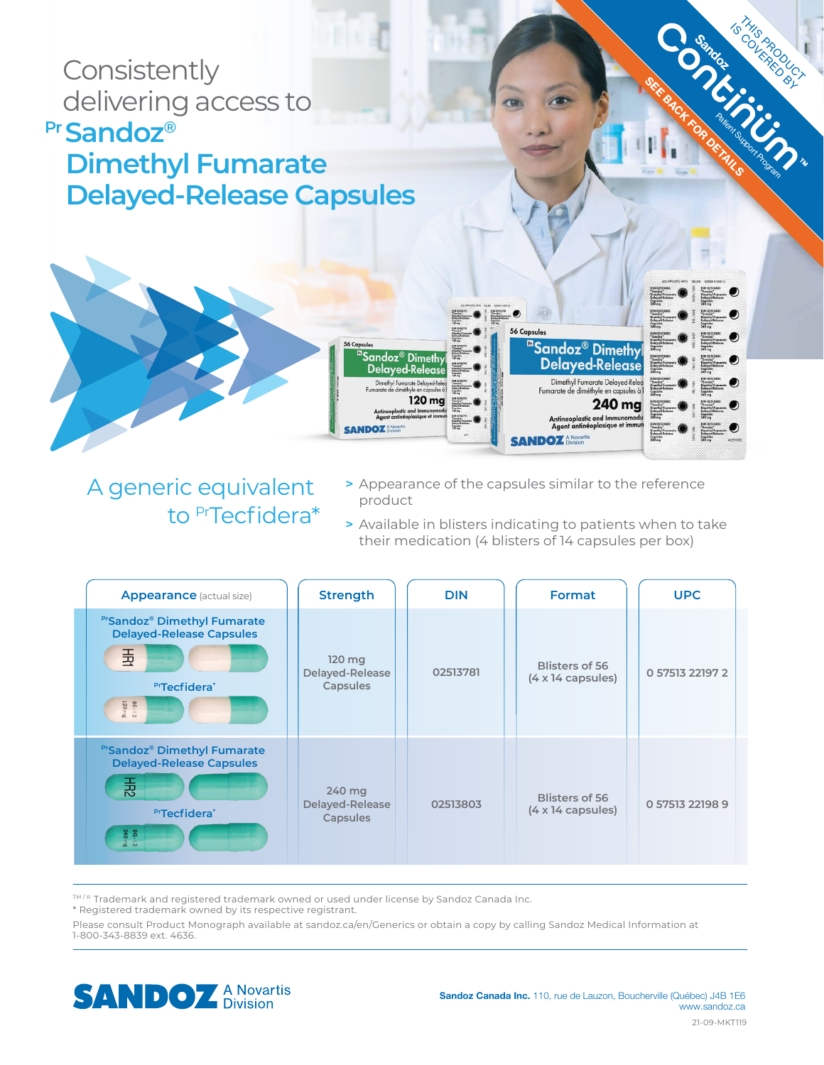

# A generic equivalent to PrTecfidera\*

- **>** Appearance of the capsules similar to the reference product
- **>** Available in blisters indicating to patients when to take their medication (4 blisters of 14 capsules per box)

| <b>Appearance</b> (actual size)                                                                                                  | <b>Strength</b>                       | <b>DIN</b> | Format                                             | <b>UPC</b>      |
|----------------------------------------------------------------------------------------------------------------------------------|---------------------------------------|------------|----------------------------------------------------|-----------------|
| <b>PrSandoz<sup>®</sup> Dimethyl Fumarate</b><br><b>Delayed-Release Capsules</b><br>玉<br><b>PrTecfidera</b> *<br>BG-12<br>120 mg | 120 mg<br>Delayed-Release<br>Capsules | 02513781   | Blisters of 56<br>$(4 \times 14 \text{ capsules})$ | 0 57513 22197 2 |
| <b>PrSandoz® Dimethyl Fumarate</b><br><b>Delayed-Release Capsules</b><br>퐀<br><b>PTecfidera</b> *<br>BG-1.2<br>240 mg            | 240 mg<br>Delayed-Release<br>Capsules | 02513803   | Blisters of 56<br>$(4 \times 14 \text{ capsules})$ | 0 57513 22198 9 |

™/® Trademark and registered trademark owned or used under license by Sandoz Canada Inc.

\* Registered trademark owned by its respective registrant.

Please consult Product Monograph available at sandoz.ca/en/Generics or obtain a copy by calling Sandoz Medical Information at 1-800-343-8839 ext. 4636.